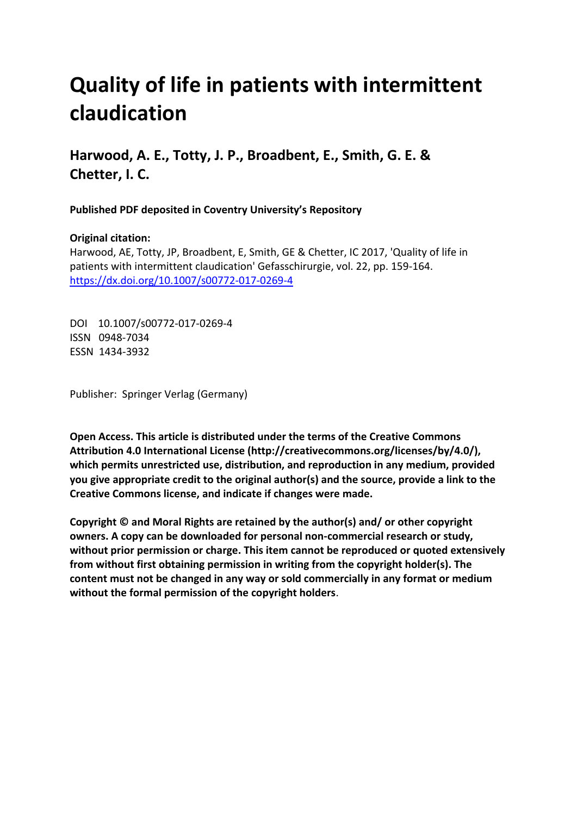# **Quality of life in patients with intermittent claudication**

**Harwood, A. E., Totty, J. P., Broadbent, E., Smith, G. E. & Chetter, I. C.** 

**Published PDF deposited in Coventry University's Repository** 

### **Original citation:**

Harwood, AE, Totty, JP, Broadbent, E, Smith, GE & Chetter, IC 2017, 'Quality of life in patients with intermittent claudication' Gefasschirurgie, vol. 22, pp. 159-164. https://dx.doi.org/10.1007/s00772-017-0269-4

 DOI 10.1007/s00772-017-0269-4 ISSN 0948-7034 ESSN 1434-3932

Publisher: Springer Verlag (Germany)

**Open Access. This article is distributed under the terms of the Creative Commons Attribution 4.0 International License (http://creativecommons.org/licenses/by/4.0/), which permits unrestricted use, distribution, and reproduction in any medium, provided you give appropriate credit to the original author(s) and the source, provide a link to the Creative Commons license, and indicate if changes were made.** 

**Copyright © and Moral Rights are retained by the author(s) and/ or other copyright owners. A copy can be downloaded for personal non-commercial research or study, without prior permission or charge. This item cannot be reproduced or quoted extensively from without first obtaining permission in writing from the copyright holder(s). The content must not be changed in any way or sold commercially in any format or medium without the formal permission of the copyright holders**.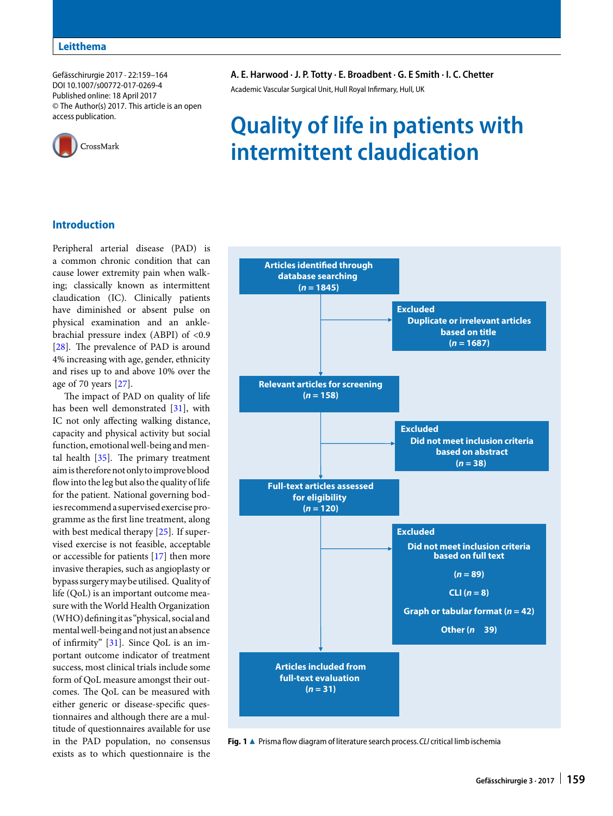Gefässchirurgie 2017 · 22:159–164 DOI 10.1007/s00772-017-0269-4 Published online: 18 April 2017 © The Author(s) 2017. This article is an open access publication.



## **A. E. Harwood · J. P. Totty · E. Broadbent · G. E Smith · I. C. Chetter**

Academic Vascular Surgical Unit, Hull Royal Infirmary, Hull, UK

## **Quality of life in patients with intermittent claudication**

#### **Introduction**

Peripheral arterial disease (PAD) is a common chronic condition that can cause lower extremity pain when walking; classically known as intermittent claudication (IC). Clinically patients have diminished or absent pulse on physical examination and an anklebrachial pressure index (ABPI) of <0.9 [\[28\]](#page-6-0). The prevalence of PAD is around 4% increasing with age, gender, ethnicity and rises up to and above 10% over the age of 70 years [\[27\]](#page-6-1).

The impact of PAD on quality of life has been well demonstrated [\[31\]](#page-6-2), with IC not only affecting walking distance, capacity and physical activity but social function, emotionalwell-being and mental health  $[35]$ . The primary treatment aimisthereforenotonlytoimproveblood flowinto the leg but also the quality of life for the patient. National governing bodies recommend a supervised exercise programme as the first line treatment, along with best medical therapy [\[25\]](#page-6-4). If supervised exercise is not feasible, acceptable or accessible for patients [\[17\]](#page-6-5) then more invasive therapies, such as angioplasty or bypass surgerymay be utilised. Quality of life (QoL) is an important outcome measure with the World Health Organization (WHO) defining it as "physical, social and mental well-being and not just an absence of infirmity" [\[31\]](#page-6-2). Since QoL is an important outcome indicator of treatment success, most clinical trials include some form of QoL measure amongst their outcomes. The QoL can be measured with either generic or disease-specific questionnaires and although there are a multitude of questionnaires available for use in the PAD population, no consensus exists as to which questionnaire is the



<span id="page-1-0"></span>**Fig. 1 ▲** Prisma flow diagram of literature search process. CLI critical limb ischemia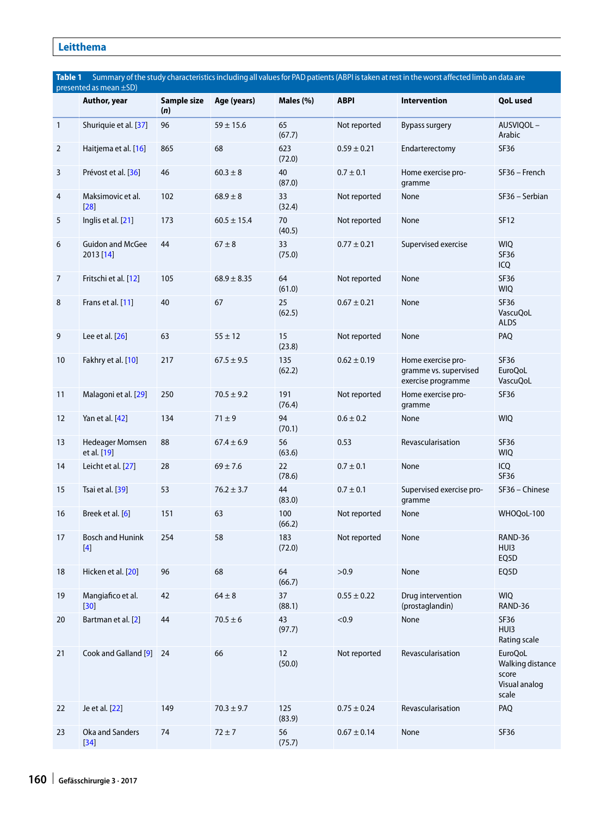### **Leitthema**

<span id="page-2-0"></span>

| Summary of the study characteristics including all values for PAD patients (ABPI is taken at rest in the worst affected limb an data are<br>Table 1<br>presented as mean ±SD) |                                      |                    |                 |               |                 |                                                                   |                                                                       |  |  |  |
|-------------------------------------------------------------------------------------------------------------------------------------------------------------------------------|--------------------------------------|--------------------|-----------------|---------------|-----------------|-------------------------------------------------------------------|-----------------------------------------------------------------------|--|--|--|
|                                                                                                                                                                               | Author, year                         | Sample size<br>(n) | Age (years)     | Males (%)     | <b>ABPI</b>     | Intervention                                                      | <b>QoL</b> used                                                       |  |  |  |
| $\mathbf{1}$                                                                                                                                                                  | Shuriquie et al. [37]                | 96                 | $59 \pm 15.6$   | 65<br>(67.7)  | Not reported    | <b>Bypass surgery</b>                                             | AUSVIQOL-<br>Arabic                                                   |  |  |  |
| 2                                                                                                                                                                             | Haitjema et al. [16]                 | 865                | 68              | 623<br>(72.0) | $0.59 \pm 0.21$ | Endarterectomy                                                    | SF36                                                                  |  |  |  |
| 3                                                                                                                                                                             | Prévost et al. [36]                  | 46                 | $60.3 \pm 8$    | 40<br>(87.0)  | $0.7 \pm 0.1$   | Home exercise pro-<br>gramme                                      | SF36 - French                                                         |  |  |  |
| 4                                                                                                                                                                             | Maksimovic et al.<br>$[28]$          | 102                | $68.9 \pm 8$    | 33<br>(32.4)  | Not reported    | None                                                              | SF36 - Serbian                                                        |  |  |  |
| 5                                                                                                                                                                             | Inglis et al. [21]                   | 173                | $60.5 \pm 15.4$ | 70<br>(40.5)  | Not reported    | None                                                              | <b>SF12</b>                                                           |  |  |  |
| 6                                                                                                                                                                             | <b>Guidon and McGee</b><br>2013 [14] | 44                 | $67 \pm 8$      | 33<br>(75.0)  | $0.77 \pm 0.21$ | Supervised exercise                                               | <b>WIQ</b><br>SF36<br>ICQ                                             |  |  |  |
| 7                                                                                                                                                                             | Fritschi et al. [12]                 | 105                | $68.9 \pm 8.35$ | 64<br>(61.0)  | Not reported    | None                                                              | SF36<br><b>WIQ</b>                                                    |  |  |  |
| 8                                                                                                                                                                             | Frans et al. [11]                    | 40                 | 67              | 25<br>(62.5)  | $0.67 \pm 0.21$ | None                                                              | SF36<br>VascuQoL<br><b>ALDS</b>                                       |  |  |  |
| 9                                                                                                                                                                             | Lee et al. [26]                      | 63                 | $55 \pm 12$     | 15<br>(23.8)  | Not reported    | None                                                              | PAQ                                                                   |  |  |  |
| 10                                                                                                                                                                            | Fakhry et al. [10]                   | 217                | $67.5 \pm 9.5$  | 135<br>(62.2) | $0.62 \pm 0.19$ | Home exercise pro-<br>gramme vs. supervised<br>exercise programme | SF36<br><b>EuroQoL</b><br><b>VascuQoL</b>                             |  |  |  |
| 11                                                                                                                                                                            | Malagoni et al. [29]                 | 250                | $70.5 \pm 9.2$  | 191<br>(76.4) | Not reported    | Home exercise pro-<br>gramme                                      | SF36                                                                  |  |  |  |
| 12                                                                                                                                                                            | Yan et al. [42]                      | 134                | $71 \pm 9$      | 94<br>(70.1)  | $0.6 \pm 0.2$   | None                                                              | <b>WIQ</b>                                                            |  |  |  |
| 13                                                                                                                                                                            | Hedeager Momsen<br>et al. [19]       | 88                 | $67.4 \pm 6.9$  | 56<br>(63.6)  | 0.53            | Revascularisation                                                 | SF36<br><b>WIQ</b>                                                    |  |  |  |
| 14                                                                                                                                                                            | Leicht et al. [27]                   | 28                 | $69 \pm 7.6$    | 22<br>(78.6)  | $0.7 \pm 0.1$   | None                                                              | ICQ<br>SF36                                                           |  |  |  |
| 15                                                                                                                                                                            | Tsai et al. [39]                     | 53                 | $76.2 \pm 3.7$  | 44<br>(83.0)  | $0.7 \pm 0.1$   | Supervised exercise pro-<br>gramme                                | SF36 - Chinese                                                        |  |  |  |
| 16                                                                                                                                                                            | Breek et al. [6]                     | 151                | 63              | 100<br>(66.2) | Not reported    | None                                                              | WHOQoL-100                                                            |  |  |  |
| 17                                                                                                                                                                            | <b>Bosch and Hunink</b><br>$[4]$     | 254                | 58              | 183<br>(72.0) | Not reported    | None                                                              | RAND-36<br>HUI3<br>EQ5D                                               |  |  |  |
| 18                                                                                                                                                                            | Hicken et al. [20]                   | 96                 | 68              | 64<br>(66.7)  | >0.9            | None                                                              | EQ5D                                                                  |  |  |  |
| 19                                                                                                                                                                            | Mangiafico et al.<br>$[30]$          | 42                 | $64 \pm 8$      | 37<br>(88.1)  | $0.55 \pm 0.22$ | Drug intervention<br>(prostaglandin)                              | <b>WIQ</b><br>RAND-36                                                 |  |  |  |
| 20                                                                                                                                                                            | Bartman et al. [2]                   | 44                 | $70.5 \pm 6$    | 43<br>(97.7)  | < 0.9           | None                                                              | SF36<br>HUI3<br>Rating scale                                          |  |  |  |
| 21                                                                                                                                                                            | Cook and Galland [9] 24              |                    | 66              | 12<br>(50.0)  | Not reported    | Revascularisation                                                 | <b>EuroQoL</b><br>Walking distance<br>score<br>Visual analog<br>scale |  |  |  |
| 22                                                                                                                                                                            | Je et al. [22]                       | 149                | $70.3 \pm 9.7$  | 125<br>(83.9) | $0.75 \pm 0.24$ | Revascularisation                                                 | PAQ                                                                   |  |  |  |
| 23                                                                                                                                                                            | Oka and Sanders<br>$[34]$            | 74                 | $72 \pm 7$      | 56<br>(75.7)  | $0.67 \pm 0.14$ | None                                                              | SF36                                                                  |  |  |  |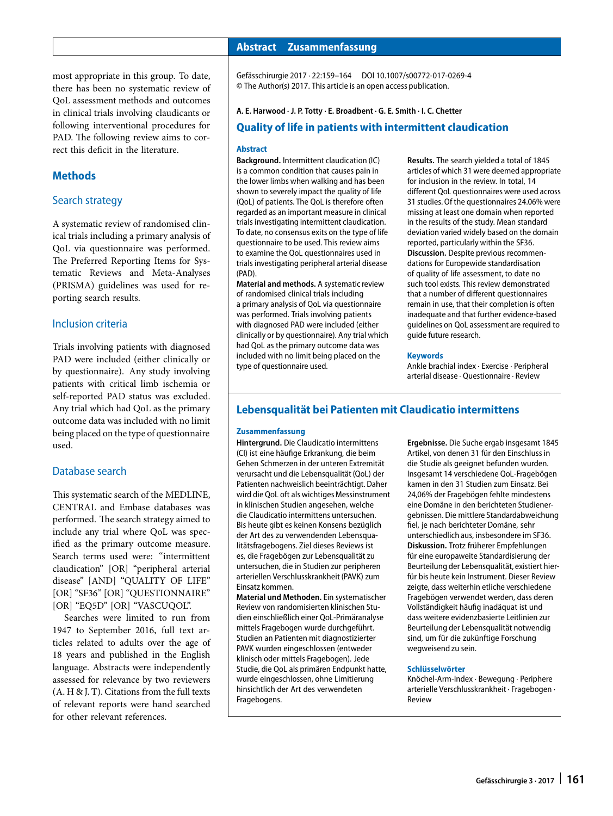most appropriate in this group. To date, there has been no systematic review of QoL assessment methods and outcomes in clinical trials involving claudicants or following interventional procedures for PAD. The following review aims to correct this deficit in the literature.

#### **Methods**

#### Search strategy

A systematic review of randomised clinical trials including a primary analysis of QoL via questionnaire was performed. The Preferred Reporting Items for Systematic Reviews and Meta-Analyses (PRISMA) guidelines was used for reporting search results.

#### Inclusion criteria

Trials involving patients with diagnosed PAD were included (either clinically or by questionnaire). Any study involving patients with critical limb ischemia or self-reported PAD status was excluded. Any trial which had QoL as the primary outcome data was included with no limit being placed on the type of questionnaire used.

#### Database search

This systematic search of the MEDLINE, CENTRAL and Embase databases was performed. The search strategy aimed to include any trial where QoL was specified as the primary outcome measure. Search terms used were: "intermittent claudication" [OR] "peripheral arterial disease" [AND] "QUALITY OF LIFE" [OR] "SF36" [OR] "QUESTIONNAIRE" [OR] "EQ5D" [OR] "VASCUQOL".

Searches were limited to run from 1947 to September 2016, full text articles related to adults over the age of 18 years and published in the English language. Abstracts were independently assessed for relevance by two reviewers (A. H & J. T). Citations from the full texts of relevant reports were hand searched for other relevant references.

#### **Abstract · Zusammenfassung**

Gefässchirurgie 2017 · 22:159–164 DOI 10.1007/s00772-017-0269-4 © The Author(s) 2017. This article is an open access publication.

#### **A. E. Harwood · J. P. Totty · E. Broadbent · G. E. Smith · I. C. Chetter**

#### **Quality of life in patients with intermittent claudication**

#### **Abstract**

the lower limbs when walking and has been regarded as an important measure in clinical missing at least one domain when reported trials investigating intermittent claudication. in the results of the study. Mean standard questionnaire to be used. This review aims to examine the QoL questionnaires used in **Discussion.** Despite previous recommentrials investigating peripheral arterial disease dations for Europewide standardisation

**Material and methods.** A systematic review of randomised clinical trials including a primary analysis of QoL via questionnaire remain in use, that their completion is often was performed. Trials involving patients inadequate and that further evidence-based<br>with diagnosed PAD were included (either quidelines on QoL assessment are required to  $\frac{1}{2}$  clinically or by questionnaire). Any trial which guide future research. had QoL as the primary outcome data was included with no limit being placed on the **Keywords** type of questionnaire used. Ankle brachial index · Exercise · Peripheral

**Background.** Intermittent claudication (IC) **Results.** The search yielded a total of 1845 is a common condition that causes pain in articles of which 31 were deemed appropriate<br>the lower limbs when walking and has been for inclusion in the review. In total, 14 shown to severely impact the quality of life different QoL questionnaires were used across<br>(OoL) of patients. The OoL is therefore often 31 studies. Of the questionnaires 24.06% were 31 studies. Of the questionnaires 24.06% were To date, no consensus exits on the type of life deviation varied widely based on the domain questionnaire to be used. This review aims reported, particularly within the SF36. (PAD).<br> **Material and methods.** A systematic review of quality of life assessment, to date no<br> **Material and methods.** A systematic review such tool exists. This review demonstrated that a number of different questionnaires guidelines on QoL assessment are required to

arterial disease · Questionnaire · Review

#### **Lebensqualität bei Patienten mit Claudicatio intermittens**

#### **Zusammenfassung**

(CI) ist eine häufige Erkrankung, die beim and Artikel, von denen 31 für den Einschluss in Gehen Schmerzen in der unteren Extremität die Studie als geeignet befunden wurden. Gehen Schmerzen in der unteren Extremität<br>verursacht und die Lebensgualität (OoL) der Patienten nachweislich beeinträchtigt. Daher kamen in den 31 Studien zum Einsatz. Bei wird die QoL oft als wichtiges Messinstrument 24,06% der Fragebögen fehlte mindestens in klinischen Studien angesehen, welche eine Domäne in den berichteten Studiener-<br>die Claudicatio intermittens untersuchen. The oebnissen. Die mittlere Standardabweichun Bis heute gibt es keinen Konsens bezüglich fiel, je nach berichteter Domäne, sehr der Art des zu verwendenden Lebensqua- unterschiedlich aus, insbesondere im SF36. litätsfragebogens. Ziel dieses Reviews ist **Diskussion.** Trotz früherer Empfehlungen Einsatz kommen. zeigte, dass weiterhin etliche verschiedene

dien einschließlich einer QoL-Primäranalyse mittels Fragebogen wurde durchgeführt. Beurteilung der Lebensqualität notwendig Studien an Patienten mit diagnostizierter sind, um für die zukünftige Forschung PAVK wurden eingeschlossen (entweder wegweisend zu sein. klinisch oder mittels Fragebogen). Jede Studie, die QoL als primären Endpunkt hatte, **Schlüsselwörter** hinsichtlich der Art des verwendeten arterielle Verschlusskrankheit · Fragebogen · Fragebogens. The contract of the Review

**Hintergrund.** Die Claudicatio intermittens **Ergebnisse.** Die Suche ergab insgesamt 1845 Insgesamt 14 verschiedene OoL-Fragebögen gebnissen. Die mittlere Standardabweichung für eine europaweite Standardisierung der untersuchen, die in Studien zur peripheren Beurteilung der Lebensqualität, existiert hier-<br>arteriellen Verschlusskrankheit (PAVK) zum für bis heute kein Instrument. Dieser Review für bis heute kein Instrument. Dieser Review **Material und Methoden.** Ein systematischer Fragebögen verwendet werden, dass deren Revien and Reiten Revien Revi<br>Review von randomisierten klinischen Stu- Vollständigkeit häufig inadäguat ist und Vollständigkeit häufig inadäquat ist und<br>dass weitere evidenzbasierte Leitlinien zur

Knöchel-Arm-Index · Bewegung · Periphere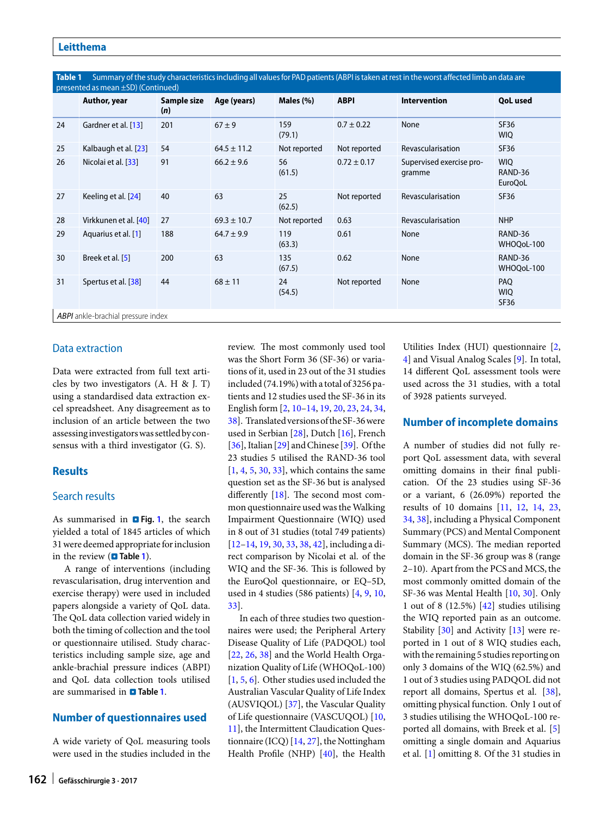Table 1 Summary of the study characteristics including all values for PAD patients (ABPI is taken at rest in the worst affected limb an data are

| presented as mean $\pm$ SD) (Continued)   |                       |                    |                 |               |                 |                                    |                                         |  |  |  |  |
|-------------------------------------------|-----------------------|--------------------|-----------------|---------------|-----------------|------------------------------------|-----------------------------------------|--|--|--|--|
|                                           | Author, year          | Sample size<br>(n) | Age (years)     | Males (%)     | <b>ABPI</b>     | <b>Intervention</b>                | <b>QoL</b> used                         |  |  |  |  |
| 24                                        | Gardner et al. [13]   | 201                | $67 \pm 9$      | 159<br>(79.1) | $0.7 \pm 0.22$  | None                               | <b>SF36</b><br><b>WIQ</b>               |  |  |  |  |
| 25                                        | Kalbaugh et al. [23]  | 54                 | $64.5 \pm 11.2$ | Not reported  | Not reported    | Revascularisation                  | <b>SF36</b>                             |  |  |  |  |
| 26                                        | Nicolai et al. [33]   | 91                 | $66.2 \pm 9.6$  | 56<br>(61.5)  | $0.72 \pm 0.17$ | Supervised exercise pro-<br>gramme | <b>WIQ</b><br>RAND-36<br><b>EuroQoL</b> |  |  |  |  |
| 27                                        | Keeling et al. [24]   | 40                 | 63              | 25<br>(62.5)  | Not reported    | Revascularisation                  | <b>SF36</b>                             |  |  |  |  |
| 28                                        | Virkkunen et al. [40] | 27                 | $69.3 \pm 10.7$ | Not reported  | 0.63            | Revascularisation                  | <b>NHP</b>                              |  |  |  |  |
| 29                                        | Aquarius et al. [1]   | 188                | $64.7 \pm 9.9$  | 119<br>(63.3) | 0.61            | None                               | RAND-36<br>WHOQoL-100                   |  |  |  |  |
| 30                                        | Breek et al. [5]      | 200                | 63              | 135<br>(67.5) | 0.62            | None                               | RAND-36<br>WHOQoL-100                   |  |  |  |  |
| 31                                        | Spertus et al. [38]   | 44                 | $68 \pm 11$     | 24<br>(54.5)  | Not reported    | None                               | PAQ<br><b>WIQ</b><br>SF36               |  |  |  |  |
| <b>ABPI</b> ankle-brachial pressure index |                       |                    |                 |               |                 |                                    |                                         |  |  |  |  |

#### Data extraction

Data were extracted from full text articles by two investigators (A. H & J. T) using a standardised data extraction excel spreadsheet. Any disagreement as to inclusion of an article between the two assessinginvestigatorswas settled by consensus with a third investigator (G. S).

#### **Results**

#### Search results

As summarised in **a** Fig. [1](#page-1-0), the search yielded a total of 1845 articles of which 31were deemed appropriate forinclusion in the review (**a** Table [1](#page-2-0)).

A range of interventions (including revascularisation, drug intervention and exercise therapy) were used in included papers alongside a variety of QoL data. The QoL data collection varied widely in both the timing of collection and the tool or questionnaire utilised. Study characteristics including sample size, age and ankle-brachial pressure indices (ABPI) and QoL data collection tools utilised are summarised in . **Table [1](#page-2-0)**.

#### **Number of questionnaires used**

A wide variety of QoL measuring tools were used in the studies included in the review. The most commonly used tool was the Short Form 36 (SF-36) or variations of it, used in 23 out of the 31 studies included (74.19%) with a total of  $3256$  patients and 12 studies used the SF-36 in its English form [\[2,](#page-5-5) [10](#page-5-2)[–14,](#page-6-10) [19,](#page-6-14) [20,](#page-6-16) [23,](#page-6-20) [24,](#page-6-22) [34,](#page-6-19) [38\]](#page-6-24). Translated versions of theSF-36were used in Serbian [\[28\]](#page-6-0), Dutch [\[16\]](#page-6-7), French  $[36]$ , Italian  $[29]$  and Chinese  $[39]$ . Of the 23 studies 5 utilised the RAND-36 tool  $[1, 4, 5, 30, 33]$  $[1, 4, 5, 30, 33]$  $[1, 4, 5, 30, 33]$  $[1, 4, 5, 30, 33]$  $[1, 4, 5, 30, 33]$  $[1, 4, 5, 30, 33]$  $[1, 4, 5, 30, 33]$  $[1, 4, 5, 30, 33]$  $[1, 4, 5, 30, 33]$ , which contains the same question set as the SF-36 but is analysed differently  $[18]$ . The second most common questionnaire used was the Walking Impairment Questionnaire (WIQ) used in 8 out of 31 studies (total 749 patients) [\[12](#page-5-0)[–14,](#page-6-10) [19,](#page-6-14) [30,](#page-6-17) [33,](#page-6-21) [38,](#page-6-24) [42\]](#page-6-13), including a direct comparison by Nicolai et al. of the WIQ and the SF-36. This is followed by the EuroQol questionnaire, or EQ–5D, used in 4 studies (586 patients) [\[4,](#page-5-4) [9,](#page-5-6) [10,](#page-5-2) [33\]](#page-6-21).

In each of three studies two questionnaires were used; the Peripheral Artery Disease Quality of Life (PADQOL) tool [\[22,](#page-6-18) [26,](#page-6-11) [38\]](#page-6-24) and the World Health Organization Quality of Life (WHOQoL-100) [\[1,](#page-5-8) [5,](#page-5-9) [6\]](#page-5-3). Other studies used included the Australian Vascular Quality of Life Index (AUSVIQOL) [\[37\]](#page-6-6), the Vascular Quality of Life questionnaire (VASCUQOL) [\[10,](#page-5-2) [11\]](#page-5-1), the Intermittent Claudication Questionnaire (ICQ)  $[14, 27]$  $[14, 27]$  $[14, 27]$ , the Nottingham Health Profile (NHP) [\[40\]](#page-6-23), the Health Utilities Index (HUI) questionnaire [\[2,](#page-5-5) [4\]](#page-5-4) and Visual Analog Scales [\[9\]](#page-5-6). In total, 14 different QoL assessment tools were used across the 31 studies, with a total of 3928 patients surveyed.

#### **Number of incomplete domains**

A number of studies did not fully report QoL assessment data, with several omitting domains in their final publication. Of the 23 studies using SF-36 or a variant, 6 (26.09%) reported the results of 10 domains [\[11,](#page-5-1) [12,](#page-5-0) [14,](#page-6-10) [23,](#page-6-20) [34,](#page-6-19) [38\]](#page-6-24), including a Physical Component Summary (PCS) and Mental Component Summary (MCS). The median reported domain in the SF-36 group was 8 (range 2–10). Apart from the PCS and MCS, the most commonly omitted domain of the SF-36 was Mental Health [\[10,](#page-5-2) [30\]](#page-6-17). Only 1 out of 8 (12.5%) [\[42\]](#page-6-13) studies utilising the WIQ reported pain as an outcome. Stability [\[30\]](#page-6-17) and Activity [\[13\]](#page-5-7) were reported in 1 out of 8 WIQ studies each, with the remaining 5 studies reporting on only 3 domains of the WIQ (62.5%) and 1 out of 3 studies using PADQOL did not report all domains, Spertus et al. [\[38\]](#page-6-24), omitting physical function. Only 1 out of 3 studies utilising the WHOQoL-100 reported all domains, with Breek et al. [\[5\]](#page-5-9) omitting a single domain and Aquarius et al. [\[1\]](#page-5-8) omitting 8. Of the 31 studies in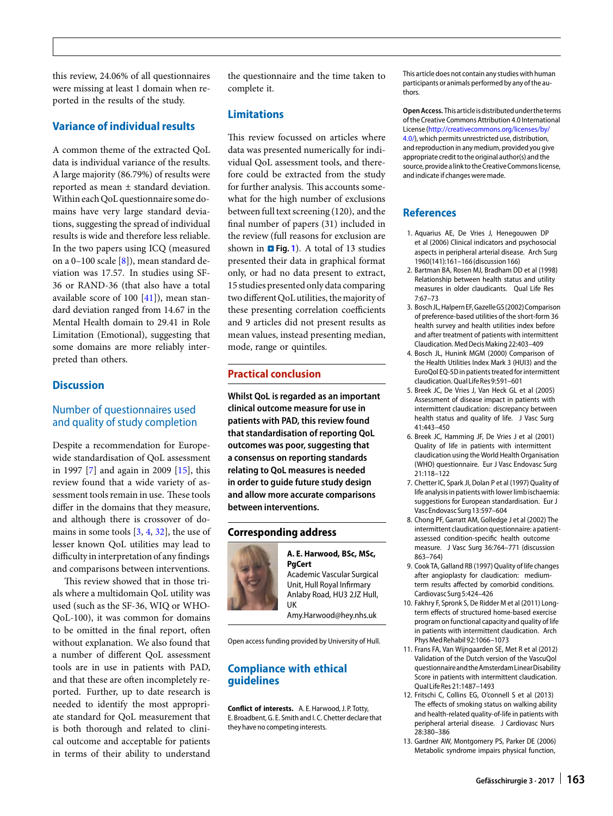this review, 24.06% of all questionnaires were missing at least 1 domain when reported in the results of the study.

#### **Variance of individual results**

A common theme of the extracted QoL data is individual variance of the results. A large majority (86.79%) of results were reported as mean ± standard deviation. Within each QoL questionnaire some domains have very large standard deviations, suggesting the spread of individual results is wide and therefore less reliable. In the two papers using ICQ (measured on a 0–100 scale [\[8\]](#page-5-10)), mean standard deviation was 17.57. In studies using SF-36 or RAND-36 (that also have a total available score of 100  $[41]$ ), mean standard deviation ranged from 14.67 in the Mental Health domain to 29.41 in Role Limitation (Emotional), suggesting that some domains are more reliably interpreted than others.

#### **Discussion**

#### Number of questionnaires used and quality of study completion

Despite a recommendation for Europewide standardisation of QoL assessment in 1997 [\[7\]](#page-5-11) and again in 2009 [\[15\]](#page-6-27), this review found that a wide variety of assessment tools remain in use. These tools differ in the domains that they measure, and although there is crossover of domains in some tools [\[3,](#page-5-12) [4,](#page-5-4) [32\]](#page-6-28), the use of lesser known QoL utilities may lead to difficulty in interpretation of any findings and comparisons between interventions.

This review showed that in those trials where a multidomain QoL utility was used (such as the SF-36, WIQ or WHO-QoL-100), it was common for domains to be omitted in the final report, ofen without explanation. We also found that a number of different QoL assessment tools are in use in patients with PAD, and that these are often incompletely reported. Further, up to date research is needed to identify the most appropriate standard for QoL measurement that is both thorough and related to clinical outcome and acceptable for patients in terms of their ability to understand

the questionnaire and the time taken to complete it.

#### **Limitations**

This review focussed on articles where data was presented numerically for individual QoL assessment tools, and therefore could be extracted from the study for further analysis. This accounts somewhat for the high number of exclusions between full text screening (120), and the final number of papers (31) included in the review (full reasons for exclusion are shown in **D** Fig. [1](#page-1-0)). A total of 13 studies presented their data in graphical format only, or had no data present to extract, 15 studies presented only data comparing two different QoL utilities, the majority of these presenting correlation coefficients and 9 articles did not present results as mean values, instead presenting median, mode, range or quintiles.

#### **Practical conclusion**

**Whilst QoL is regarded as an important clinical outcome measure for use in patients with PAD, this review found that standardisation of reporting QoL outcomes was poor, suggesting that a consensus on reporting standards relating to QoL measures is needed in order to guide future study design and allow more accurate comparisons between interventions.** 

#### **Corresponding address**



**A. E. Harwood, BSc, MSc, PgCert**

Academic Vascular Surgical Unit, Hull Royal Infirmary Anlaby Road, HU3 2JZ Hull, UK

Amy.Harwood@hey.nhs.uk

Open access funding provided by University of Hull.

#### **Compliance with ethical guidelines**

**Conflict of interests.** A. E.Harwood, J. P. Totty, E. Broadbent, G. E. Smith and I. C. Chetter declare that they have no competing interests.

This article does not contain any studies with human participants or animals performed by any of the authors.

**Open Access.** Thisarticleisdistributedunder the terms ofthe Creative Commons Attribution 4.0 International License [\(http://creativecommons.org/licenses/by/](http://creativecommons.org/licenses/by/4.0/) [4.0/\)](http://creativecommons.org/licenses/by/4.0/), which permits unrestricted use, distribution, and reproduction in anymedium, provided you give appropriate credit to the original author(s) and the source, provide a link to the Creative Commons license, and indicate if changes were made.

#### **References**

- <span id="page-5-8"></span>1. Aquarius AE, De Vries J, Henegouwen DP et al (2006) Clinical indicators and psychosocial aspects in peripheral arterial disease. Arch Surg 1960(141):161-166 (discussion 166)
- <span id="page-5-5"></span>2. Bartman BA, Rosen MJ, Bradham DD et al (1998) Relationship between health status and utility measures in older claudicants. Qual Life Res 7:67–73
- <span id="page-5-12"></span>3. Bosch JL,HalpernEF,GazelleGS(2002)Comparison of preference-based utilities of the short-form 36 health survey and health utilities index before and after treatment of patients with intermittent Claudication.MedDecisMaking22:403–409
- <span id="page-5-4"></span>4. Bosch JL, Hunink MGM (2000) Comparison of the Health Utilities Index Mark 3 (HUI3) and the EuroQol EQ-5D in patients treated for intermittent claudication. Qual Life Res 9:591-601
- <span id="page-5-9"></span>5. Breek JC, De Vries J, Van Heck GL et al (2005) Assessment of disease impact in patients with intermittent claudication: discrepancy between health status and quality of life. J Vasc Surg 41:443–450
- <span id="page-5-3"></span>6. Breek JC, Hamming JF, De Vries J et al (2001) Quality of life in patients with intermittent claudication using the World Health Organisation (WHO) questionnaire. Eur J Vasc Endovasc Surg 21:118–122
- <span id="page-5-11"></span>7. Chetter IC, Spark JI, Dolan P et al (1997) Quality of life analysis in patients with lower limb ischaemia: suggestions for European standardisation. Eur J Vasc Endovasc Surg 13:597-604
- <span id="page-5-10"></span>8. Chong PF, Garratt AM, Golledge J et al (2002) The intermittent claudication questionnaire: a patientassessed condition-specific health outcome measure. J Vasc Surg 36:764–771 (discussion 863–764)
- <span id="page-5-6"></span>9. Cook TA, Galland RB (1997) Quality of life changes after angioplasty for claudication: mediumterm results affected by comorbid conditions. Cardiovasc Surg 5:424-426
- <span id="page-5-2"></span>10. Fakhry F, Spronk S, De Ridder M et al (2011) Longterm effects of structured home-based exercise program on functional capacity and quality of life in patients with intermittent claudication. Arch Phys Med Rehabil 92:1066-1073
- <span id="page-5-1"></span>11. Frans FA, Van Wijngaarden SE, Met R et al (2012) Validation of the Dutch version of the VascuQol questionnaireand theAmsterdamLinearDisability Score in patients with intermittent claudication. Qual Life Res21:1487–1493
- <span id="page-5-0"></span>12. Fritschi C, Collins EG, O'connell S et al (2013) The effects of smoking status on walking ability and health-related quality-of-life in patients with peripheral arterial disease. J Cardiovasc Nurs 28:380–386
- <span id="page-5-7"></span>13. Gardner AW, Montgomery PS, Parker DE (2006) Metabolic syndrome impairs physical function,